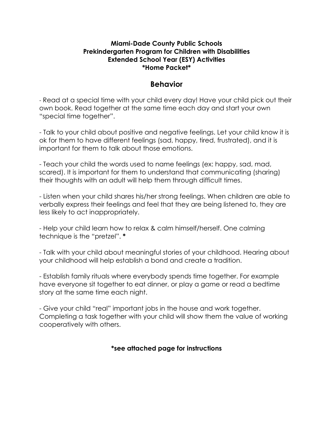#### **Miami-Dade County Public Schools Prekindergarten Program for Children with Disabilities Extended School Year (ESY) Activities \*Home Packet\***

### **Behavior**

- Read at a special time with your child every day! Have your child pick out their own book. Read together at the same time each day and start your own "special time together".

- Talk to your child about positive and negative feelings. Let your child know it is ok for them to have different feelings (sad, happy, tired, frustrated), and it is important for them to talk about those emotions.

- Teach your child the words used to name feelings (ex: happy, sad, mad, scared). It is important for them to understand that communicating (sharing) their thoughts with an adult will help them through difficult times.

- Listen when your child shares his/her strong feelings. When children are able to verbally express their feelings and feel that they are being listened to, they are less likely to act inappropriately.

- Help your child learn how to relax & calm himself/herself. One calming technique is the "pretzel". **\***

- Talk with your child about meaningful stories of your childhood. Hearing about your childhood will help establish a bond and create a tradition.

- Establish family rituals where everybody spends time together. For example have everyone sit together to eat dinner, or play a game or read a bedtime story at the same time each night.

- Give your child "real" important jobs in the house and work together. Completing a task together with your child will show them the value of working cooperatively with others.

**\*see attached page for instructions**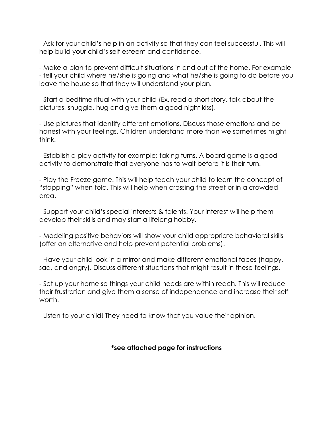- Ask for your child's help in an activity so that they can feel successful. This will help build your child's self-esteem and confidence.

- Make a plan to prevent difficult situations in and out of the home. For example - tell your child where he/she is going and what he/she is going to do before you leave the house so that they will understand your plan.

- Start a bedtime ritual with your child (Ex. read a short story, talk about the pictures, snuggle, hug and give them a good night kiss).

- Use pictures that identify different emotions. Discuss those emotions and be honest with your feelings. Children understand more than we sometimes might think.

- Establish a play activity for example: taking turns. A board game is a good activity to demonstrate that everyone has to wait before it is their turn.

- Play the Freeze game. This will help teach your child to learn the concept of "stopping" when told. This will help when crossing the street or in a crowded area.

- Support your child's special interests & talents. Your interest will help them develop their skills and may start a lifelong hobby.

- Modeling positive behaviors will show your child appropriate behavioral skills (offer an alternative and help prevent potential problems).

- Have your child look in a mirror and make different emotional faces (happy, sad, and angry). Discuss different situations that might result in these feelings.

- Set up your home so things your child needs are within reach. This will reduce their frustration and give them a sense of independence and increase their self worth.

- Listen to your child! They need to know that you value their opinion.

**\*see attached page for instructions**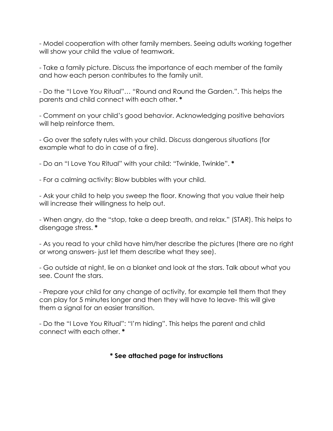- Model cooperation with other family members. Seeing adults working together will show your child the value of teamwork.

- Take a family picture. Discuss the importance of each member of the family and how each person contributes to the family unit.

- Do the "I Love You Ritual"… "Round and Round the Garden.". This helps the parents and child connect with each other. **\***

- Comment on your child's good behavior. Acknowledging positive behaviors will help reinforce them.

- Go over the safety rules with your child. Discuss dangerous situations (for example what to do in case of a fire).

- Do an "I Love You Ritual" with your child: "Twinkle, Twinkle". **\***

- For a calming activity: Blow bubbles with your child.

- Ask your child to help you sweep the floor. Knowing that you value their help will increase their willingness to help out.

- When angry, do the "stop, take a deep breath, and relax." (STAR). This helps to disengage stress. **\***

- As you read to your child have him/her describe the pictures (there are no right or wrong answers- just let them describe what they see).

- Go outside at night, lie on a blanket and look at the stars. Talk about what you see. Count the stars.

- Prepare your child for any change of activity, for example tell them that they can play for 5 minutes longer and then they will have to leave- this will give them a signal for an easier transition.

- Do the "I Love You Ritual": "I'm hiding". This helps the parent and child connect with each other. **\***

### **\* See attached page for instructions**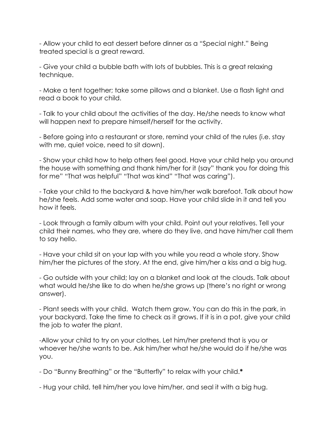- Allow your child to eat dessert before dinner as a "Special night." Being treated special is a great reward.

- Give your child a bubble bath with lots of bubbles. This is a great relaxing technique.

- Make a tent together; take some pillows and a blanket. Use a flash light and read a book to your child.

- Talk to your child about the activities of the day. He/she needs to know what will happen next to prepare himself/herself for the activity.

- Before going into a restaurant or store, remind your child of the rules (i.e. stay with me, quiet voice, need to sit down).

- Show your child how to help others feel good. Have your child help you around the house with something and thank him/her for it (say" thank you for doing this for me" "That was helpful" "That was kind" "That was caring").

- Take your child to the backyard & have him/her walk barefoot. Talk about how he/she feels. Add some water and soap. Have your child slide in it and tell you how it feels.

- Look through a family album with your child. Point out your relatives. Tell your child their names, who they are, where do they live, and have him/her call them to say hello.

- Have your child sit on your lap with you while you read a whole story. Show him/her the pictures of the story. At the end, give him/her a kiss and a big hug.

- Go outside with your child; lay on a blanket and look at the clouds. Talk about what would he/she like to do when he/she grows up (there's no right or wrong answer).

- Plant seeds with your child. Watch them grow. You can do this in the park, in your backyard. Take the time to check as it grows. If it is in a pot, give your child the job to water the plant.

-Allow your child to try on your clothes. Let him/her pretend that is you or whoever he/she wants to be. Ask him/her what he/she would do if he/she was you.

- Do "Bunny Breathing" or the "Butterfly" to relax with your child.**\***

- Hug your child, tell him/her you love him/her, and seal it with a big hug.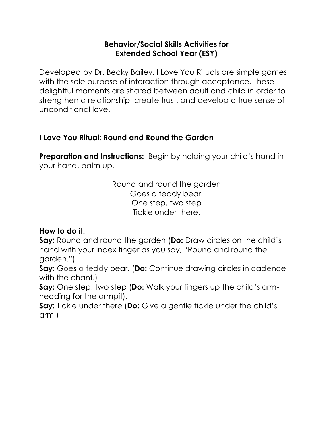# **Behavior/Social Skills Activities for Extended School Year (ESY)**

Developed by Dr. Becky Bailey, I Love You Rituals are simple games with the sole purpose of interaction through acceptance. These delightful moments are shared between adult and child in order to strengthen a relationship, create trust, and develop a true sense of unconditional love.

# **I Love You Ritual: Round and Round the Garden**

**Preparation and Instructions:** Begin by holding your child's hand in your hand, palm up.

> Round and round the garden Goes a teddy bear. One step, two step Tickle under there.

# **How to do it:**

**Say:** Round and round the garden (**Do:** Draw circles on the child's hand with your index finger as you say, "Round and round the garden.")

**Say:** Goes a teddy bear. (**Do:** Continue drawing circles in cadence with the chant.)

**Say:** One step, two step (**Do:** Walk your fingers up the child's armheading for the armpit).

**Say:** Tickle under there (**Do:** Give a gentle tickle under the child's arm.)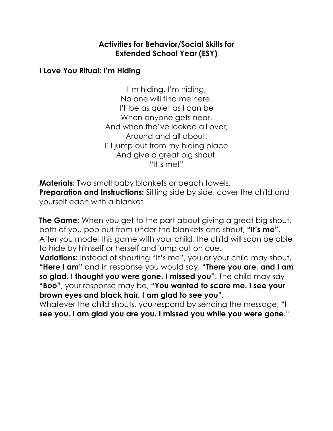# **Activities for Behavior/Social Skills for Extended School Year (ESY)**

### **I Love You Ritual: I'm Hiding**

I'm hiding, I'm hiding, No one will find me here. I'll be as quiet as I can be When anyone gets near. And when the've looked all over, Around and all about, I'll jump out from my hiding place And give a great big shout. "It's me!"

**Materials:** Two small baby blankets or beach towels. **Preparation and Instructions:** Sitting side by side, cover the child and yourself each with a blanket

**The Game:** When you get to the part about giving a great big shout, both of you pop out from under the blankets and shout, **"It's me"**. After you model this game with your child, the child will soon be able to hide by himself or herself and jump out on cue.

**Variations:** Instead of shouting "It's me", you or your child may shout, **"Here I am"** and in response you would say, **"There you are, and I am so glad. I thought you were gone. I missed you"**. The child may say **"Boo"**, your response may be, **"You wanted to scare me. I see your brown eyes and black hair. I am glad to see you".**

Whatever the child shouts, you respond by sending the message, **"I see you. I am glad you are you. I missed you while you were gone."**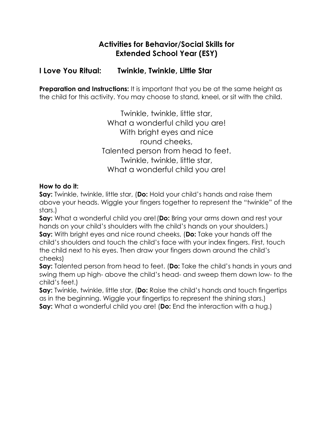# **Activities for Behavior/Social Skills for Extended School Year (ESY)**

# **I Love You Ritual: Twinkle, Twinkle, Little Star**

**Preparation and Instructions:** It is important that you be at the same height as the child for this activity. You may choose to stand, kneel, or sit with the child.

> Twinkle, twinkle, little star, What a wonderful child you are! With bright eyes and nice round cheeks, Talented person from head to feet. Twinkle, twinkle, little star, What a wonderful child you are!

#### **How to do it:**

**Say:** Twinkle, twinkle, little star, (**Do:** Hold your child's hands and raise them above your heads. Wiggle your fingers together to represent the "twinkle" of the stars.)

**Say:** What a wonderful child you are!(**Do:** Bring your arms down and rest your hands on your child's shoulders with the child's hands on your shoulders.) **Say:** With bright eyes and nice round cheeks, (**Do:** Take your hands off the child's shoulders and touch the child's face with your index fingers. First, touch the child next to his eyes. Then draw your fingers down around the child's cheeks)

**Say:** Talented person from head to feet. (**Do:** Take the child's hands in yours and swing them up high- above the child's head- and sweep them down low- to the child's feet.)

**Say:** Twinkle, twinkle, little star, (**Do:** Raise the child's hands and touch fingertips as in the beginning. Wiggle your fingertips to represent the shining stars.) **Say:** What a wonderful child you are! (**Do:** End the interaction with a hug.)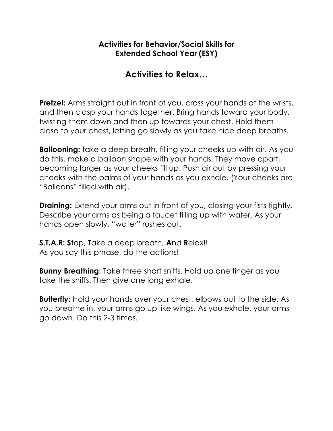# **Activities for Behavior/Social Skills for Extended School Year (ESY)**

# **Activities to Relax…**

**Pretzel:** Arms straight out in front of you, cross your hands at the wrists, and then clasp your hands together. Bring hands toward your body, twisting them down and then up towards your chest. Hold them close to your chest, letting go slowly as you take nice deep breaths.

**Ballooning:** take a deep breath, filling your cheeks up with air. As you do this, make a balloon shape with your hands. They move apart, becoming larger as your cheeks fill up. Push air out by pressing your cheeks with the palms of your hands as you exhale. (Your cheeks are "Balloons" filled with air).

**Draining:** Extend your arms out in front of you, closing your fists tightly. Describe your arms as being a faucet filling up with water. As your hands open slowly, "water" rushes out.

**S.T.A.R: S**top, **T**ake a deep breath, **A**nd **R**elax!! As you say this phrase, do the actions!

**Bunny Breathing:** Take three short sniffs. Hold up one finger as you take the sniffs. Then give one long exhale.

**Butterfly:** Hold your hands over your chest, elbows out to the side. As you breathe in, your arms go up like wings. As you exhale, your arms go down. Do this 2-3 times.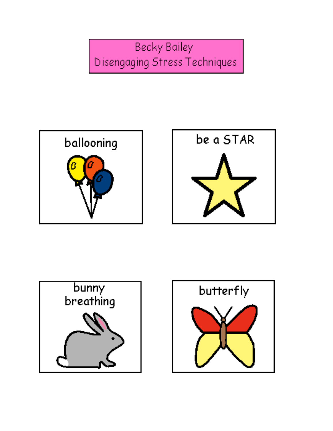**Becky Bailey** Disengaging Stress Techniques